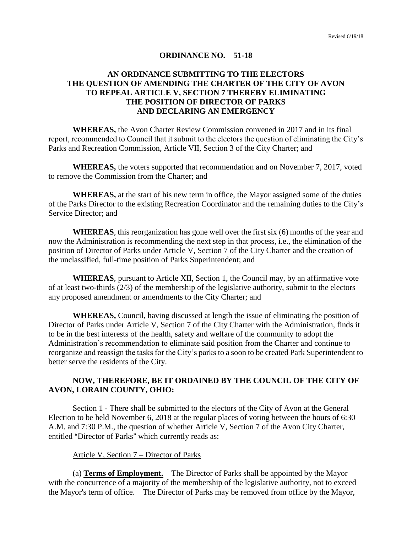#### **ORDINANCE NO. 51-18**

# **AN ORDINANCE SUBMITTING TO THE ELECTORS THE QUESTION OF AMENDING THE CHARTER OF THE CITY OF AVON TO REPEAL ARTICLE V, SECTION 7 THEREBY ELIMINATING THE POSITION OF DIRECTOR OF PARKS AND DECLARING AN EMERGENCY**

**WHEREAS,** the Avon Charter Review Commission convened in 2017 and in its final report, recommended to Council that it submit to the electors the question of eliminating the City's Parks and Recreation Commission, Article VII, Section 3 of the City Charter; and

**WHEREAS,** the voters supported that recommendation and on November 7, 2017, voted to remove the Commission from the Charter; and

**WHEREAS,** at the start of his new term in office, the Mayor assigned some of the duties of the Parks Director to the existing Recreation Coordinator and the remaining duties to the City's Service Director; and

**WHEREAS**, this reorganization has gone well over the first six (6) months of the year and now the Administration is recommending the next step in that process, i.e., the elimination of the position of Director of Parks under Article V, Section 7 of the City Charter and the creation of the unclassified, full-time position of Parks Superintendent; and

**WHEREAS**, pursuant to Article XII, Section 1, the Council may, by an affirmative vote of at least two-thirds (2/3) of the membership of the legislative authority, submit to the electors any proposed amendment or amendments to the City Charter; and

**WHEREAS,** Council, having discussed at length the issue of eliminating the position of Director of Parks under Article V, Section 7 of the City Charter with the Administration, finds it to be in the best interests of the health, safety and welfare of the community to adopt the Administration's recommendation to eliminate said position from the Charter and continue to reorganize and reassign the tasks for the City's parks to a soon to be created Park Superintendent to better serve the residents of the City.

## **NOW, THEREFORE, BE IT ORDAINED BY THE COUNCIL OF THE CITY OF AVON, LORAIN COUNTY, OHIO:**

Section 1 - There shall be submitted to the electors of the City of Avon at the General Election to be held November 6, 2018 at the regular places of voting between the hours of 6:30 A.M. and 7:30 P.M., the question of whether Article V, Section 7 of the Avon City Charter, entitled "Director of Parks" which currently reads as:

#### Article V, Section 7 – Director of Parks

(a) **Terms of Employment.** The Director of Parks shall be appointed by the Mayor with the concurrence of a majority of the membership of the legislative authority, not to exceed the Mayor's term of office. The Director of Parks may be removed from office by the Mayor,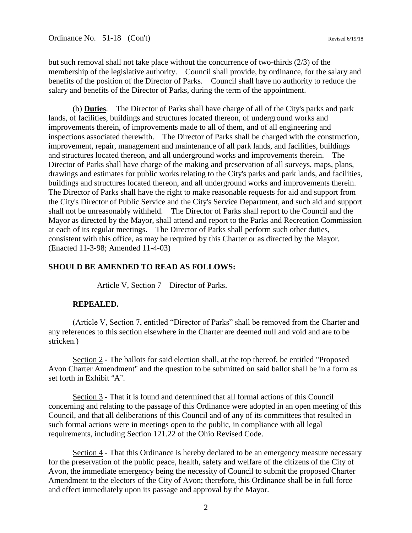Ordinance No. 51-18 (Con't) Revised 6/19/18

but such removal shall not take place without the concurrence of two-thirds (2/3) of the membership of the legislative authority. Council shall provide, by ordinance, for the salary and benefits of the position of the Director of Parks. Council shall have no authority to reduce the salary and benefits of the Director of Parks, during the term of the appointment.

(b) **Duties**. The Director of Parks shall have charge of all of the City's parks and park lands, of facilities, buildings and structures located thereon, of underground works and improvements therein, of improvements made to all of them, and of all engineering and inspections associated therewith. The Director of Parks shall be charged with the construction, improvement, repair, management and maintenance of all park lands, and facilities, buildings and structures located thereon, and all underground works and improvements therein. The Director of Parks shall have charge of the making and preservation of all surveys, maps, plans, drawings and estimates for public works relating to the City's parks and park lands, and facilities, buildings and structures located thereon, and all underground works and improvements therein. The Director of Parks shall have the right to make reasonable requests for aid and support from the City's Director of Public Service and the City's Service Department, and such aid and support shall not be unreasonably withheld. The Director of Parks shall report to the Council and the Mayor as directed by the Mayor, shall attend and report to the Parks and Recreation Commission at each of its regular meetings. The Director of Parks shall perform such other duties, consistent with this office, as may be required by this Charter or as directed by the Mayor. (Enacted 11-3-98; Amended 11-4-03)

#### **SHOULD BE AMENDED TO READ AS FOLLOWS:**

Article V, Section 7 – Director of Parks.

#### **REPEALED.**

(Article V, Section 7, entitled "Director of Parks" shall be removed from the Charter and any references to this section elsewhere in the Charter are deemed null and void and are to be stricken.)

Section 2 - The ballots for said election shall, at the top thereof, be entitled "Proposed Avon Charter Amendment" and the question to be submitted on said ballot shall be in a form as set forth in Exhibit "A".

Section 3 - That it is found and determined that all formal actions of this Council concerning and relating to the passage of this Ordinance were adopted in an open meeting of this Council, and that all deliberations of this Council and of any of its committees that resulted in such formal actions were in meetings open to the public, in compliance with all legal requirements, including Section 121.22 of the Ohio Revised Code.

Section 4 - That this Ordinance is hereby declared to be an emergency measure necessary for the preservation of the public peace, health, safety and welfare of the citizens of the City of Avon, the immediate emergency being the necessity of Council to submit the proposed Charter Amendment to the electors of the City of Avon; therefore, this Ordinance shall be in full force and effect immediately upon its passage and approval by the Mayor.

2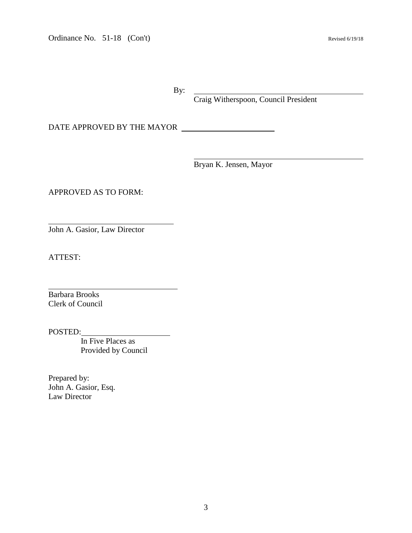Ordinance No. 51-18 (Con't) Revised 6/19/18

By:

Craig Witherspoon, Council President

DATE APPROVED BY THE MAYOR

Bryan K. Jensen, Mayor

APPROVED AS TO FORM:

John A. Gasior, Law Director

ATTEST:

 $\overline{a}$ 

 $\overline{a}$ 

Barbara Brooks Clerk of Council

POSTED:

 In Five Places as Provided by Council

Prepared by: John A. Gasior, Esq. Law Director